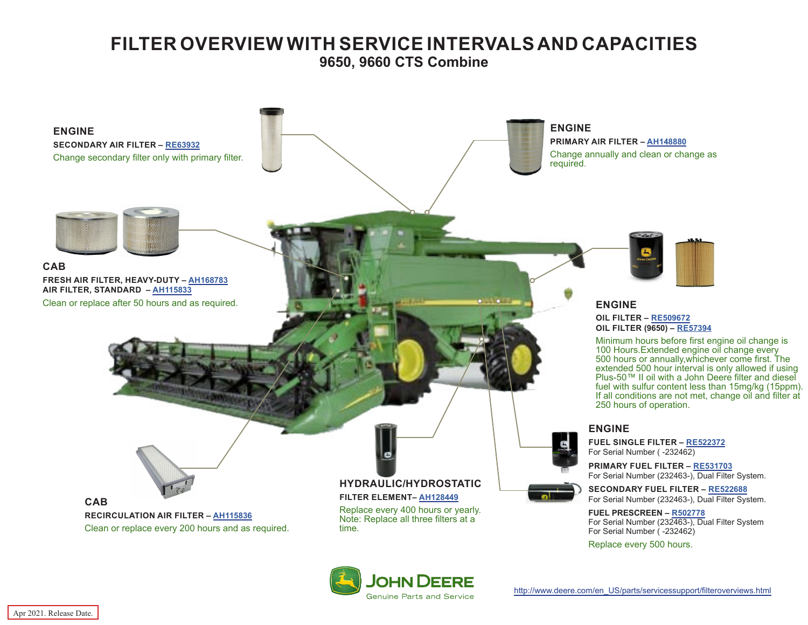## **FILTER OVERVIEW WITH SERVICE INTERVALS AND CAPACITIES 9650, 9660 CTS Combine**

<span id="page-0-0"></span>

**JOHN DEEI** 

[http://www.deere.com/en\\_US/parts/servicessupport/filteroverviews.html](http://www.deere.com/en_US/parts/servicessupport/filteroverviews.html)